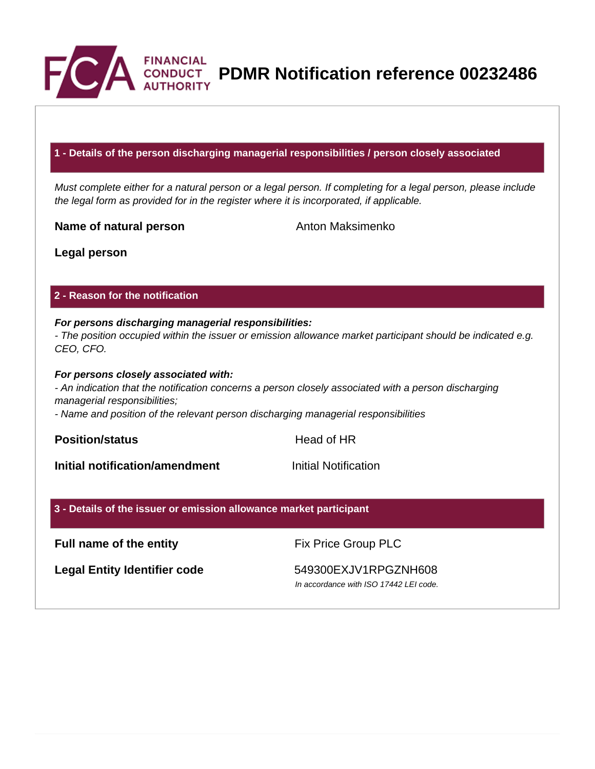

**PDMR Notification reference 00232486**

### **1 - Details of the person discharging managerial responsibilities / person closely associated**

Must complete either for a natural person or a legal person. If completing for a legal person, please include the legal form as provided for in the register where it is incorporated, if applicable.

**Name of natural person** Anton Maksimenko

**Legal person**

### **2 - Reason for the notification**

# **For persons discharging managerial responsibilities:**

- The position occupied within the issuer or emission allowance market participant should be indicated e.g. CEO, CFO.

#### **For persons closely associated with:**

- An indication that the notification concerns a person closely associated with a person discharging managerial responsibilities;

- Name and position of the relevant person discharging managerial responsibilities

**Position/status Head of HR** 

**Initial notification/amendment Initial Notification** 

#### **3 - Details of the issuer or emission allowance market participant**

# **Full name of the entity** Fix Price Group PLC

Legal Entity Identifier code 549300EXJV1RPGZNH608

In accordance with ISO 17442 LEI code.